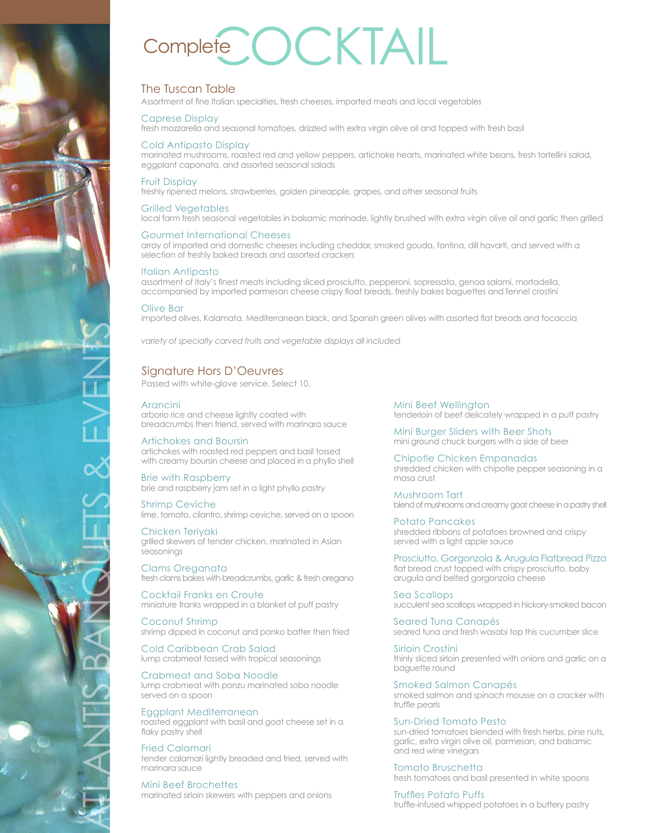# Complete COCKTAI

# The Tuscan Table

Assortment of fine Italian specialties, fresh cheeses, imported meats and local vegetables

## Caprese Display

fresh mozzarella and seasonal tomatoes, drizzled with extra virgin olive oil and topped with fresh basil

## Cold Antipasto Display

marinated mushrooms, roasted red and yellow peppers, artichoke hearts, marinated white beans, fresh tortellini salad, eggplant caponata, and assorted seasonal salads

### Fruit Display

freshly ripened melons, strawberries, golden pineapple, grapes, and other seasonal fruits

### Grilled Vegetables

local farm fresh seasonal vegetables in balsamic marinade, lightly brushed with extra virgin olive oil and garlic then grilled

## Gourmet International Cheeses

array of imported and domestic cheeses including cheddar, smoked gouda, fontina, dill havarti, and served with a selection of freshly baked breads and assorted crackers

### Italian Antipasto

assortment of Italy's finest meats including sliced prosciutto, pepperoni, sopressata, genoa salami, mortadella, accompanied by imported parmesan cheese crispy float breads, freshly bakes baguettes and fennel crostini

### Olive Bar

imported olives, Kalamata, Mediterranean black, and Spanish green olives with assorted flat breads and focaccia

*variety of specialty carved fruits and vegetable displays all included*

# Signature Hors D'Oeuvres

Passed with white-glove service. Select 10.

### Arancini

arborio rice and cheese lightly coated with breadcrumbs then friend, served with marinara sauce

Artichokes and Boursin artichokes with roasted red peppers and basil tossed with creamy boursin cheese and placed in a phyllo shell

Brie with Raspberry brie and raspberry jam set in a light phyllo pastry

Shrimp Ceviche lime, tomato, cilantro, shrimp ceviche, served on a spoon

Chicken Teriyaki grilled skewers of tender chicken, marinated in Asian seasonings

Clams Oreganata fresh clams bakes with breadcrumbs, garlic & fresh oregano

Cocktail Franks en Croute miniature franks wrapped in a blanket of puff pastry

Coconut Shrimp shrimp dipped in coconut and panko batter then fried

Cold Caribbean Crab Salad lump crabmeat tossed with tropical seasonings

Crabmeat and Soba Noodle lump crabmeat with ponzu marinated soba noodle served on a spoon

Eggplant Mediterranean roasted eggplant with basil and goat cheese set in a flaky pastry shell

Fried Calamari tender calamari lightly breaded and fried, served with marinara sauce

Mini Beef Brochettes marinated sirloin skewers with peppers and onions Mini Beef Wellington tenderloin of beef delicately wrapped in a puff pastry

Mini Burger Sliders with Beer Shots mini ground chuck burgers with a side of beer

Chipotle Chicken Empanadas shredded chicken with chipotle pepper seasoning in a masa crust

Mushroom Tart blend of mushrooms and creamy goat cheese in a pastry shell

Potato Pancakes shredded ribbons of potatoes browned and crispy served with a light apple sauce

Prosciutto, Gorgonzola & Arugula Flatbread Pizza flat bread crust topped with crispy prosciutto, baby arugula and belted gorgonzola cheese

Sea Scallops succulent sea scallops wrapped in hickory-smoked bacon

Seared Tuna Canapés seared tuna and fresh wasabi top this cucumber slice

Sirloin Crostini thinly sliced sirloin presented with onions and garlic on a baguette round

Smoked Salmon Canapés smoked salmon and spinach mousse on a cracker with truffle pearls

Sun-Dried Tomato Pesto sun-dried tomatoes blended with fresh herbs, pine nuts, garlic, extra virgin olive oil, parmesan, and balsamic and red wine vinegars

Tomato Bruschetta fresh tomatoes and basil presented in white spoons

Truffles Potato Puffs truffle-infused whipped potatoes in a buttery pastry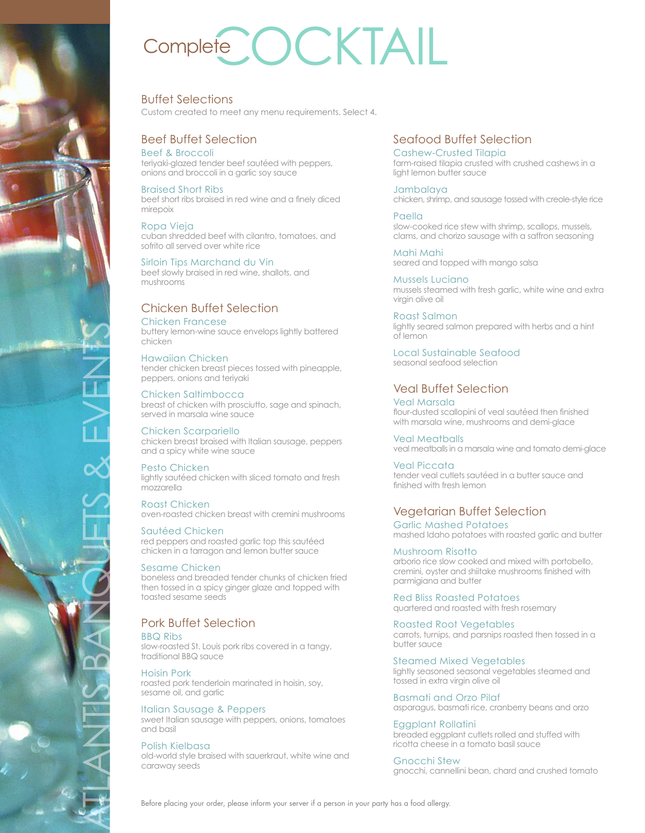# Complete COCKTAIL

# Buffet Selections

Custom created to meet any menu requirements. Select 4.

# Beef Buffet Selection

# Beef & Broccoli

teriyaki-glazed tender beef sautéed with peppers, onions and broccoli in a garlic soy sauce

## Braised Short Ribs

beef short ribs braised in red wine and a finely diced mirepoix

#### Ropa Vieja cuban shredded beef with cilantro, tomatoes, and sofrito all served over white rice

Sirloin Tips Marchand du Vin beef slowly braised in red wine, shallots, and mushrooms

# Chicken Buffet Selection

# Chicken Francese

buttery lemon-wine sauce envelops lightly battered chicken

# Hawaiian Chicken

tender chicken breast pieces tossed with pineapple, peppers, onions and teriyaki

#### Chicken Saltimbocca breast of chicken with prosciutto, sage and spinach, served in marsala wine sauce

Chicken Scarpariello chicken breast braised with Italian sausage, peppers and a spicy white wine sauce

# Pesto Chicken

lightly sautéed chicken with sliced tomato and fresh mozzarella

Roast Chicken oven-roasted chicken breast with cremini mushrooms

# Sautéed Chicken

red peppers and roasted garlic top this sautéed chicken in a tarragon and lemon butter sauce

# Sesame Chicken

ATLANTIS BANQUETS & EVENTS

boneless and breaded tender chunks of chicken fried then tossed in a spicy ginger glaze and topped with toasted sesame seeds

# Pork Buffet Selection

BBQ Ribs slow-roasted St. Louis pork ribs covered in a tangy, traditional BBQ sauce

### Hoisin Pork roasted pork tenderloin marinated in hoisin, soy, sesame oil, and garlic

Italian Sausage & Peppers sweet Italian sausage with peppers, onions, tomatoes and basil

## Polish Kielbasa

old-world style braised with sauerkraut, white wine and caraway seeds

# Seafood Buffet Selection

Cashew-Crusted Tilapia farm-raised tilapia crusted with crushed cashews in a light lemon butter squce

Jambalaya chicken, shrimp, and sausage tossed with creole-style rice

Paella slow-cooked rice stew with shrimp, scallops, mussels, clams, and chorizo sausage with a saffron seasoning

Mahi Mahi seared and topped with mango salsa

Mussels Luciano mussels steamed with fresh garlic, white wine and extra virgin olive oil

Roast Salmon lightly seared salmon prepared with herbs and a hint of lemon

Local Sustainable Seafood seasonal seafood selection

# Veal Buffet Selection

Veal Marsala flour-dusted scallopini of veal sautéed then finished with marsala wine, mushrooms and demi-glace

Veal Meatballs veal meatballs in a marsala wine and tomato demi-glace

Veal Piccata tender veal cutlets sautéed in a butter sauce and finished with fresh lemon

# Vegetarian Buffet Selection

Garlic Mashed Potatoes mashed Idaho potatoes with roasted garlic and butter

# Mushroom Risotto

arborio rice slow cooked and mixed with portobello, cremini, oyster and shiitake mushrooms finished with parmigiana and butter

Red Bliss Roasted Potatoes quartered and roasted with fresh rosemary

Roasted Root Vegetables carrots, turnips, and parsnips roasted then tossed in a butter sauce

Steamed Mixed Vegetables lightly seasoned seasonal vegetables steamed and tossed in extra virgin olive oil

Basmati and Orzo Pilaf asparagus, basmati rice, cranberry beans and orzo

Eggplant Rollatini breaded eggplant cutlets rolled and stuffed with ricotta cheese in a tomato basil sauce

Gnocchi Stew gnocchi, cannellini bean, chard and crushed tomato

Before placing your order, please inform your server if a person in your party has a food allergy.